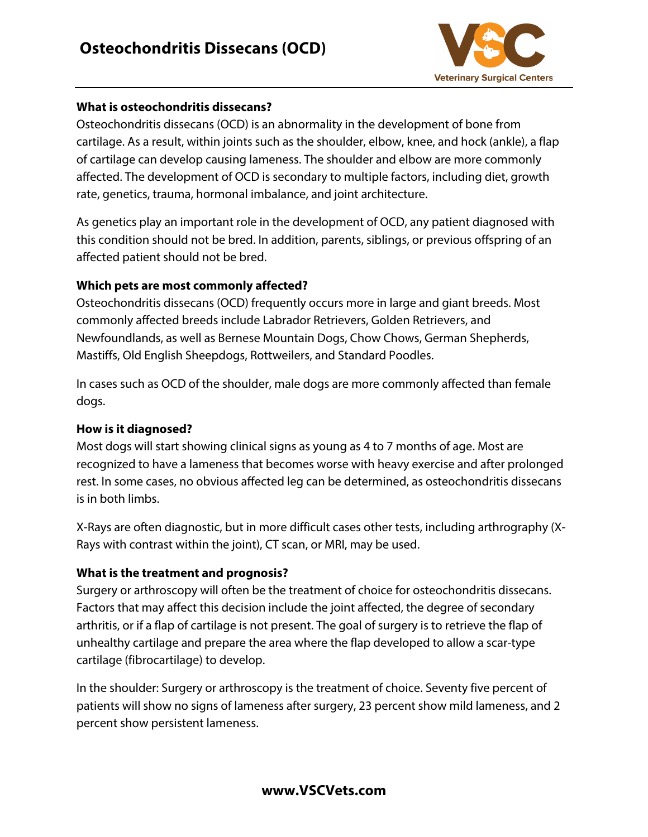

### **What is osteochondritis dissecans?**

Osteochondritis dissecans (OCD) is an abnormality in the development of bone from cartilage. As a result, within joints such as the shoulder, elbow, knee, and hock (ankle), a flap of cartilage can develop causing lameness. The shoulder and elbow are more commonly affected. The development of OCD is secondary to multiple factors, including diet, growth rate, genetics, trauma, hormonal imbalance, and joint architecture.

As genetics play an important role in the development of OCD, any patient diagnosed with this condition should not be bred. In addition, parents, siblings, or previous offspring of an affected patient should not be bred.

## **Which pets are most commonly affected?**

Osteochondritis dissecans (OCD) frequently occurs more in large and giant breeds. Most commonly affected breeds include Labrador Retrievers, Golden Retrievers, and Newfoundlands, as well as Bernese Mountain Dogs, Chow Chows, German Shepherds, Mastiffs, Old English Sheepdogs, Rottweilers, and Standard Poodles.

In cases such as OCD of the shoulder, male dogs are more commonly affected than female dogs.

## **How is it diagnosed?**

Most dogs will start showing clinical signs as young as 4 to 7 months of age. Most are recognized to have a lameness that becomes worse with heavy exercise and after prolonged rest. In some cases, no obvious affected leg can be determined, as osteochondritis dissecans is in both limbs.

X-Rays are often diagnostic, but in more difficult cases other tests, including arthrography (X-Rays with contrast within the joint), CT scan, or MRI, may be used.

# **What is the treatment and prognosis?**

Surgery or arthroscopy will often be the treatment of choice for osteochondritis dissecans. Factors that may affect this decision include the joint affected, the degree of secondary arthritis, or if a flap of cartilage is not present. The goal of surgery is to retrieve the flap of unhealthy cartilage and prepare the area where the flap developed to allow a scar-type cartilage (fibrocartilage) to develop.

In the shoulder: Surgery or arthroscopy is the treatment of choice. Seventy five percent of patients will show no signs of lameness after surgery, 23 percent show mild lameness, and 2 percent show persistent lameness.